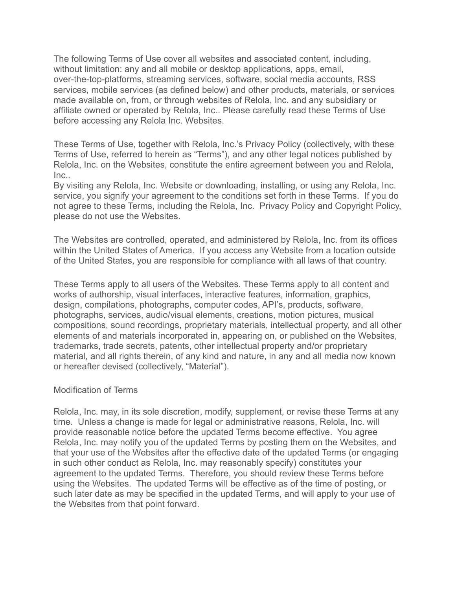The following Terms of Use cover all websites and associated content, including, without limitation: any and all mobile or desktop applications, apps, email, over-the-top-platforms, streaming services, software, social media accounts, RSS services, mobile services (as defined below) and other products, materials, or services made available on, from, or through websites of Relola, Inc. and any subsidiary or affiliate owned or operated by Relola, Inc.. Please carefully read these Terms of Use before accessing any Relola Inc. Websites.

These Terms of Use, together with Relola, Inc.'s Privacy Policy (collectively, with these Terms of Use, referred to herein as "Terms"), and any other legal notices published by Relola, Inc. on the Websites, constitute the entire agreement between you and Relola,  $Inc...$ 

By visiting any Relola, Inc. Website or downloading, installing, or using any Relola, Inc. service, you signify your agreement to the conditions set forth in these Terms. If you do not agree to these Terms, including the Relola, Inc. Privacy Policy and Copyright Policy, please do not use the Websites.

The Websites are controlled, operated, and administered by Relola, Inc. from its offices within the United States of America. If you access any Website from a location outside of the United States, you are responsible for compliance with all laws of that country.

These Terms apply to all users of the Websites. These Terms apply to all content and works of authorship, visual interfaces, interactive features, information, graphics, design, compilations, photographs, computer codes, API's, products, software, photographs, services, audio/visual elements, creations, motion pictures, musical compositions, sound recordings, proprietary materials, intellectual property, and all other elements of and materials incorporated in, appearing on, or published on the Websites, trademarks, trade secrets, patents, other intellectual property and/or proprietary material, and all rights therein, of any kind and nature, in any and all media now known or hereafter devised (collectively, "Material").

### Modification of Terms

Relola, Inc. may, in its sole discretion, modify, supplement, or revise these Terms at any time. Unless a change is made for legal or administrative reasons, Relola, Inc. will provide reasonable notice before the updated Terms become effective. You agree Relola, Inc. may notify you of the updated Terms by posting them on the Websites, and that your use of the Websites after the effective date of the updated Terms (or engaging in such other conduct as Relola, Inc. may reasonably specify) constitutes your agreement to the updated Terms. Therefore, you should review these Terms before using the Websites. The updated Terms will be effective as of the time of posting, or such later date as may be specified in the updated Terms, and will apply to your use of the Websites from that point forward.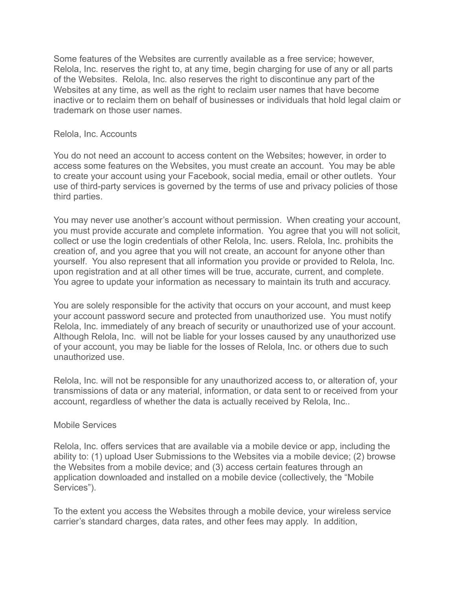Some features of the Websites are currently available as a free service; however, Relola, Inc. reserves the right to, at any time, begin charging for use of any or all parts of the Websites. Relola, Inc. also reserves the right to discontinue any part of the Websites at any time, as well as the right to reclaim user names that have become inactive or to reclaim them on behalf of businesses or individuals that hold legal claim or trademark on those user names.

### Relola, Inc. Accounts

You do not need an account to access content on the Websites; however, in order to access some features on the Websites, you must create an account. You may be able to create your account using your Facebook, social media, email or other outlets. Your use of third-party services is governed by the terms of use and privacy policies of those third parties.

You may never use another's account without permission. When creating your account, you must provide accurate and complete information. You agree that you will not solicit, collect or use the login credentials of other Relola, Inc. users. Relola, Inc. prohibits the creation of, and you agree that you will not create, an account for anyone other than yourself. You also represent that all information you provide or provided to Relola, Inc. upon registration and at all other times will be true, accurate, current, and complete. You agree to update your information as necessary to maintain its truth and accuracy.

You are solely responsible for the activity that occurs on your account, and must keep your account password secure and protected from unauthorized use. You must notify Relola, Inc. immediately of any breach of security or unauthorized use of your account. Although Relola, Inc. will not be liable for your losses caused by any unauthorized use of your account, you may be liable for the losses of Relola, Inc. or others due to such unauthorized use.

Relola, Inc. will not be responsible for any unauthorized access to, or alteration of, your transmissions of data or any material, information, or data sent to or received from your account, regardless of whether the data is actually received by Relola, Inc..

### Mobile Services

Relola, Inc. offers services that are available via a mobile device or app, including the ability to: (1) upload User Submissions to the Websites via a mobile device; (2) browse the Websites from a mobile device; and (3) access certain features through an application downloaded and installed on a mobile device (collectively, the "Mobile Services").

To the extent you access the Websites through a mobile device, your wireless service carrier's standard charges, data rates, and other fees may apply. In addition,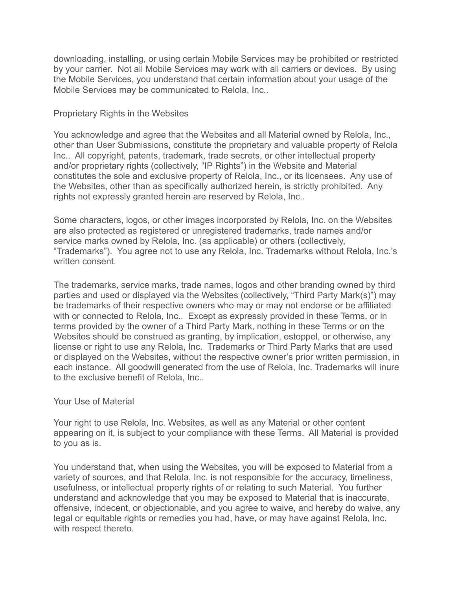downloading, installing, or using certain Mobile Services may be prohibited or restricted by your carrier. Not all Mobile Services may work with all carriers or devices. By using the Mobile Services, you understand that certain information about your usage of the Mobile Services may be communicated to Relola, Inc..

### Proprietary Rights in the Websites

You acknowledge and agree that the Websites and all Material owned by Relola, Inc., other than User Submissions, constitute the proprietary and valuable property of Relola Inc.. All copyright, patents, trademark, trade secrets, or other intellectual property and/or proprietary rights (collectively, "IP Rights") in the Website and Material constitutes the sole and exclusive property of Relola, Inc., or its licensees. Any use of the Websites, other than as specifically authorized herein, is strictly prohibited. Any rights not expressly granted herein are reserved by Relola, Inc..

Some characters, logos, or other images incorporated by Relola, Inc. on the Websites are also protected as registered or unregistered trademarks, trade names and/or service marks owned by Relola, Inc. (as applicable) or others (collectively, "Trademarks"). You agree not to use any Relola, Inc. Trademarks without Relola, Inc.'s written consent.

The trademarks, service marks, trade names, logos and other branding owned by third parties and used or displayed via the Websites (collectively, "Third Party Mark(s)") may be trademarks of their respective owners who may or may not endorse or be affiliated with or connected to Relola, Inc.. Except as expressly provided in these Terms, or in terms provided by the owner of a Third Party Mark, nothing in these Terms or on the Websites should be construed as granting, by implication, estoppel, or otherwise, any license or right to use any Relola, Inc. Trademarks or Third Party Marks that are used or displayed on the Websites, without the respective owner's prior written permission, in each instance. All goodwill generated from the use of Relola, Inc. Trademarks will inure to the exclusive benefit of Relola, Inc..

### Your Use of Material

Your right to use Relola, Inc. Websites, as well as any Material or other content appearing on it, is subject to your compliance with these Terms. All Material is provided to you as is.

You understand that, when using the Websites, you will be exposed to Material from a variety of sources, and that Relola, Inc. is not responsible for the accuracy, timeliness, usefulness, or intellectual property rights of or relating to such Material. You further understand and acknowledge that you may be exposed to Material that is inaccurate, offensive, indecent, or objectionable, and you agree to waive, and hereby do waive, any legal or equitable rights or remedies you had, have, or may have against Relola, Inc. with respect thereto.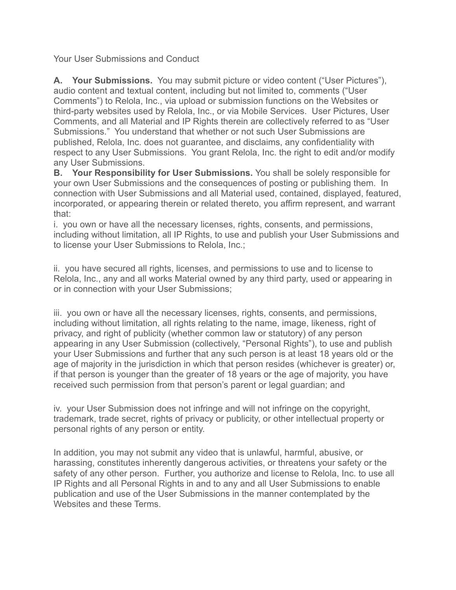Your User Submissions and Conduct

**A. Your Submissions.** You may submit picture or video content ("User Pictures"), audio content and textual content, including but not limited to, comments ("User Comments") to Relola, Inc., via upload or submission functions on the Websites or third-party websites used by Relola, Inc., or via Mobile Services. User Pictures, User Comments, and all Material and IP Rights therein are collectively referred to as "User Submissions." You understand that whether or not such User Submissions are published, Relola, Inc. does not guarantee, and disclaims, any confidentiality with respect to any User Submissions. You grant Relola, Inc. the right to edit and/or modify any User Submissions.

**B. Your Responsibility for User Submissions.** You shall be solely responsible for your own User Submissions and the consequences of posting or publishing them. In connection with User Submissions and all Material used, contained, displayed, featured, incorporated, or appearing therein or related thereto, you affirm represent, and warrant that:

i. you own or have all the necessary licenses, rights, consents, and permissions, including without limitation, all IP Rights, to use and publish your User Submissions and to license your User Submissions to Relola, Inc.;

ii. you have secured all rights, licenses, and permissions to use and to license to Relola, Inc., any and all works Material owned by any third party, used or appearing in or in connection with your User Submissions;

iii. you own or have all the necessary licenses, rights, consents, and permissions, including without limitation, all rights relating to the name, image, likeness, right of privacy, and right of publicity (whether common law or statutory) of any person appearing in any User Submission (collectively, "Personal Rights"), to use and publish your User Submissions and further that any such person is at least 18 years old or the age of majority in the jurisdiction in which that person resides (whichever is greater) or, if that person is younger than the greater of 18 years or the age of majority, you have received such permission from that person's parent or legal guardian; and

iv. your User Submission does not infringe and will not infringe on the copyright, trademark, trade secret, rights of privacy or publicity, or other intellectual property or personal rights of any person or entity.

In addition, you may not submit any video that is unlawful, harmful, abusive, or harassing, constitutes inherently dangerous activities, or threatens your safety or the safety of any other person. Further, you authorize and license to Relola, Inc. to use all IP Rights and all Personal Rights in and to any and all User Submissions to enable publication and use of the User Submissions in the manner contemplated by the Websites and these Terms.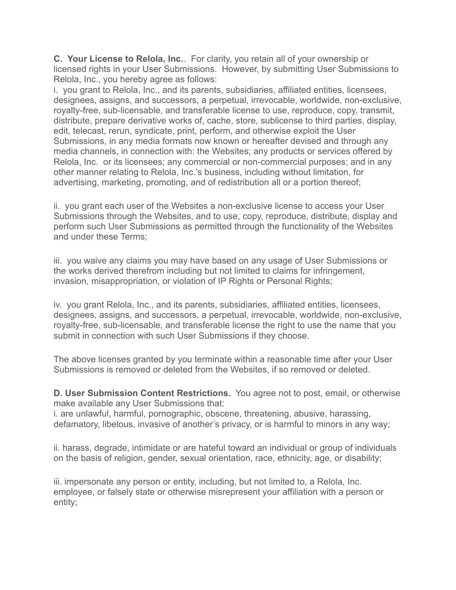**C. Your License to Relola, Inc.**. For clarity, you retain all of your ownership or licensed rights in your User Submissions. However, by submitting User Submissions to Relola, Inc., you hereby agree as follows:

i. you grant to Relola, Inc., and its parents, subsidiaries, affiliated entities, licensees, designees, assigns, and successors, a perpetual, irrevocable, worldwide, non-exclusive, royalty-free, sub-licensable, and transferable license to use, reproduce, copy, transmit, distribute, prepare derivative works of, cache, store, sublicense to third parties, display, edit, telecast, rerun, syndicate, print, perform, and otherwise exploit the User Submissions, in any media formats now known or hereafter devised and through any media channels, in connection with: the Websites; any products or services offered by Relola, Inc. or its licensees; any commercial or non-commercial purposes; and in any other manner relating to Relola, Inc.'s business, including without limitation, for advertising, marketing, promoting, and of redistribution all or a portion thereof;

ii. you grant each user of the Websites a non-exclusive license to access your User Submissions through the Websites, and to use, copy, reproduce, distribute, display and perform such User Submissions as permitted through the functionality of the Websites and under these Terms;

iii. you waive any claims you may have based on any usage of User Submissions or the works derived therefrom including but not limited to claims for infringement, invasion, misappropriation, or violation of IP Rights or Personal Rights;

iv. you grant Relola, Inc., and its parents, subsidiaries, affiliated entities, licensees, designees, assigns, and successors, a perpetual, irrevocable, worldwide, non-exclusive, royalty-free, sub-licensable, and transferable license the right to use the name that you submit in connection with such User Submissions if they choose.

The above licenses granted by you terminate within a reasonable time after your User Submissions is removed or deleted from the Websites, if so removed or deleted.

**D. User Submission Content Restrictions.** You agree not to post, email, or otherwise make available any User Submissions that:

i. are unlawful, harmful, pornographic, obscene, threatening, abusive, harassing, defamatory, libelous, invasive of another's privacy, or is harmful to minors in any way;

ii. harass, degrade, intimidate or are hateful toward an individual or group of individuals on the basis of religion, gender, sexual orientation, race, ethnicity, age, or disability;

iii. impersonate any person or entity, including, but not limited to, a Relola, Inc. employee, or falsely state or otherwise misrepresent your affiliation with a person or entity;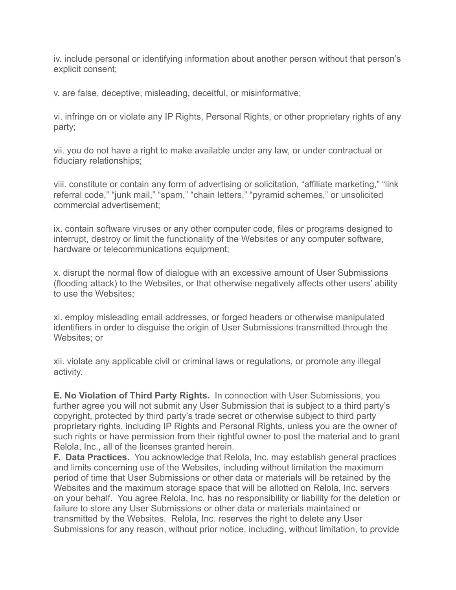iv. include personal or identifying information about another person without that person's explicit consent;

v. are false, deceptive, misleading, deceitful, or misinformative;

vi. infringe on or violate any IP Rights, Personal Rights, or other proprietary rights of any party;

vii. you do not have a right to make available under any law, or under contractual or fiduciary relationships;

viii. constitute or contain any form of advertising or solicitation, "affiliate marketing," "link referral code," "junk mail," "spam," "chain letters," "pyramid schemes," or unsolicited commercial advertisement;

ix. contain software viruses or any other computer code, files or programs designed to interrupt, destroy or limit the functionality of the Websites or any computer software, hardware or telecommunications equipment;

x. disrupt the normal flow of dialogue with an excessive amount of User Submissions (flooding attack) to the Websites, or that otherwise negatively affects other users' ability to use the Websites;

xi. employ misleading email addresses, or forged headers or otherwise manipulated identifiers in order to disguise the origin of User Submissions transmitted through the Websites; or

xii. violate any applicable civil or criminal laws or regulations, or promote any illegal activity.

**E. No Violation of Third Party Rights.** In connection with User Submissions, you further agree you will not submit any User Submission that is subject to a third party's copyright, protected by third party's trade secret or otherwise subject to third party proprietary rights, including IP Rights and Personal Rights, unless you are the owner of such rights or have permission from their rightful owner to post the material and to grant Relola, Inc., all of the licenses granted herein.

**F. Data Practices.** You acknowledge that Relola, Inc. may establish general practices and limits concerning use of the Websites, including without limitation the maximum period of time that User Submissions or other data or materials will be retained by the Websites and the maximum storage space that will be allotted on Relola, Inc. servers on your behalf. You agree Relola, Inc. has no responsibility or liability for the deletion or failure to store any User Submissions or other data or materials maintained or transmitted by the Websites. Relola, Inc. reserves the right to delete any User Submissions for any reason, without prior notice, including, without limitation, to provide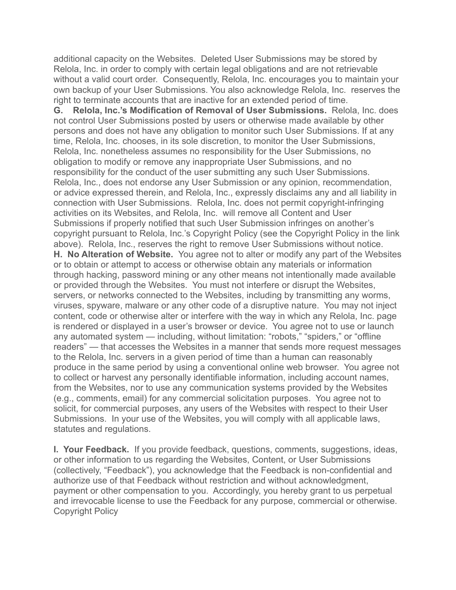additional capacity on the Websites. Deleted User Submissions may be stored by Relola, Inc. in order to comply with certain legal obligations and are not retrievable without a valid court order. Consequently, Relola, Inc. encourages you to maintain your own backup of your User Submissions. You also acknowledge Relola, Inc. reserves the right to terminate accounts that are inactive for an extended period of time.

**G. Relola, Inc.'s Modification of Removal of User Submissions.** Relola, Inc. does not control User Submissions posted by users or otherwise made available by other persons and does not have any obligation to monitor such User Submissions. If at any time, Relola, Inc. chooses, in its sole discretion, to monitor the User Submissions, Relola, Inc. nonetheless assumes no responsibility for the User Submissions, no obligation to modify or remove any inappropriate User Submissions, and no responsibility for the conduct of the user submitting any such User Submissions. Relola, Inc., does not endorse any User Submission or any opinion, recommendation, or advice expressed therein, and Relola, Inc., expressly disclaims any and all liability in connection with User Submissions. Relola, Inc. does not permit copyright-infringing activities on its Websites, and Relola, Inc. will remove all Content and User Submissions if properly notified that such User Submission infringes on another's copyright pursuant to Relola, Inc.'s Copyright Policy (see the Copyright Policy in the link above). Relola, Inc., reserves the right to remove User Submissions without notice. **H. No Alteration of Website.** You agree not to alter or modify any part of the Websites or to obtain or attempt to access or otherwise obtain any materials or information through hacking, password mining or any other means not intentionally made available or provided through the Websites. You must not interfere or disrupt the Websites, servers, or networks connected to the Websites, including by transmitting any worms, viruses, spyware, malware or any other code of a disruptive nature. You may not inject content, code or otherwise alter or interfere with the way in which any Relola, Inc. page is rendered or displayed in a user's browser or device. You agree not to use or launch any automated system — including, without limitation: "robots," "spiders," or "offline readers" — that accesses the Websites in a manner that sends more request messages to the Relola, Inc. servers in a given period of time than a human can reasonably produce in the same period by using a conventional online web browser. You agree not to collect or harvest any personally identifiable information, including account names, from the Websites, nor to use any communication systems provided by the Websites (e.g., comments, email) for any commercial solicitation purposes. You agree not to solicit, for commercial purposes, any users of the Websites with respect to their User Submissions. In your use of the Websites, you will comply with all applicable laws, statutes and regulations.

**I. Your Feedback.** If you provide feedback, questions, comments, suggestions, ideas, or other information to us regarding the Websites, Content, or User Submissions (collectively, "Feedback"), you acknowledge that the Feedback is non-confidential and authorize use of that Feedback without restriction and without acknowledgment, payment or other compensation to you. Accordingly, you hereby grant to us perpetual and irrevocable license to use the Feedback for any purpose, commercial or otherwise. Copyright Policy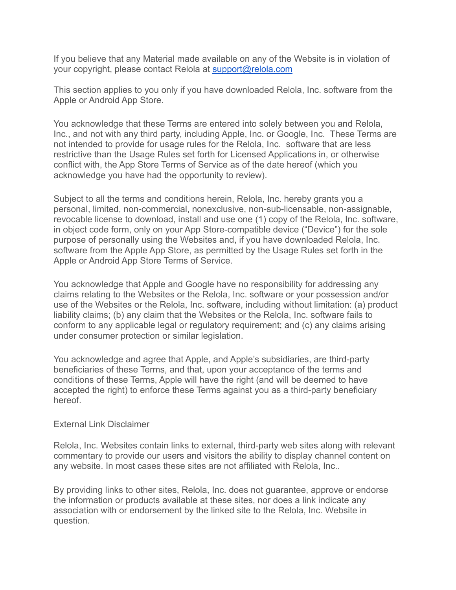If you believe that any Material made available on any of the Website is in violation of your copyright, please contact Relola at [support@relola.com](mailto:support@relola.com)

This section applies to you only if you have downloaded Relola, Inc. software from the Apple or Android App Store.

You acknowledge that these Terms are entered into solely between you and Relola, Inc., and not with any third party, including Apple, Inc. or Google, Inc. These Terms are not intended to provide for usage rules for the Relola, Inc. software that are less restrictive than the Usage Rules set forth for Licensed Applications in, or otherwise conflict with, the App Store Terms of Service as of the date hereof (which you acknowledge you have had the opportunity to review).

Subject to all the terms and conditions herein, Relola, Inc. hereby grants you a personal, limited, non-commercial, nonexclusive, non-sub-licensable, non-assignable, revocable license to download, install and use one (1) copy of the Relola, Inc. software, in object code form, only on your App Store-compatible device ("Device") for the sole purpose of personally using the Websites and, if you have downloaded Relola, Inc. software from the Apple App Store, as permitted by the Usage Rules set forth in the Apple or Android App Store Terms of Service.

You acknowledge that Apple and Google have no responsibility for addressing any claims relating to the Websites or the Relola, Inc. software or your possession and/or use of the Websites or the Relola, Inc. software, including without limitation: (a) product liability claims; (b) any claim that the Websites or the Relola, Inc. software fails to conform to any applicable legal or regulatory requirement; and (c) any claims arising under consumer protection or similar legislation.

You acknowledge and agree that Apple, and Apple's subsidiaries, are third-party beneficiaries of these Terms, and that, upon your acceptance of the terms and conditions of these Terms, Apple will have the right (and will be deemed to have accepted the right) to enforce these Terms against you as a third-party beneficiary hereof.

### External Link Disclaimer

Relola, Inc. Websites contain links to external, third-party web sites along with relevant commentary to provide our users and visitors the ability to display channel content on any website. In most cases these sites are not affiliated with Relola, Inc..

By providing links to other sites, Relola, Inc. does not guarantee, approve or endorse the information or products available at these sites, nor does a link indicate any association with or endorsement by the linked site to the Relola, Inc. Website in question.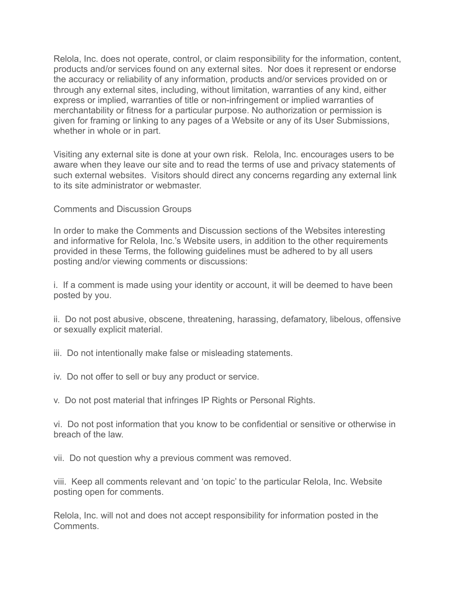Relola, Inc. does not operate, control, or claim responsibility for the information, content, products and/or services found on any external sites. Nor does it represent or endorse the accuracy or reliability of any information, products and/or services provided on or through any external sites, including, without limitation, warranties of any kind, either express or implied, warranties of title or non-infringement or implied warranties of merchantability or fitness for a particular purpose. No authorization or permission is given for framing or linking to any pages of a Website or any of its User Submissions, whether in whole or in part.

Visiting any external site is done at your own risk. Relola, Inc. encourages users to be aware when they leave our site and to read the terms of use and privacy statements of such external websites. Visitors should direct any concerns regarding any external link to its site administrator or webmaster.

Comments and Discussion Groups

In order to make the Comments and Discussion sections of the Websites interesting and informative for Relola, Inc.'s Website users, in addition to the other requirements provided in these Terms, the following guidelines must be adhered to by all users posting and/or viewing comments or discussions:

i. If a comment is made using your identity or account, it will be deemed to have been posted by you.

ii. Do not post abusive, obscene, threatening, harassing, defamatory, libelous, offensive or sexually explicit material.

iii. Do not intentionally make false or misleading statements.

iv. Do not offer to sell or buy any product or service.

v. Do not post material that infringes IP Rights or Personal Rights.

vi. Do not post information that you know to be confidential or sensitive or otherwise in breach of the law.

vii. Do not question why a previous comment was removed.

viii. Keep all comments relevant and 'on topic' to the particular Relola, Inc. Website posting open for comments.

Relola, Inc. will not and does not accept responsibility for information posted in the **Comments**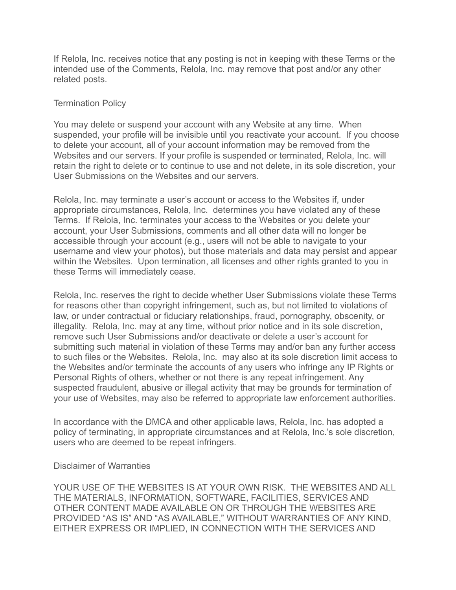If Relola, Inc. receives notice that any posting is not in keeping with these Terms or the intended use of the Comments, Relola, Inc. may remove that post and/or any other related posts.

### Termination Policy

You may delete or suspend your account with any Website at any time. When suspended, your profile will be invisible until you reactivate your account. If you choose to delete your account, all of your account information may be removed from the Websites and our servers. If your profile is suspended or terminated, Relola, Inc. will retain the right to delete or to continue to use and not delete, in its sole discretion, your User Submissions on the Websites and our servers.

Relola, Inc. may terminate a user's account or access to the Websites if, under appropriate circumstances, Relola, Inc. determines you have violated any of these Terms. If Relola, Inc. terminates your access to the Websites or you delete your account, your User Submissions, comments and all other data will no longer be accessible through your account (e.g., users will not be able to navigate to your username and view your photos), but those materials and data may persist and appear within the Websites. Upon termination, all licenses and other rights granted to you in these Terms will immediately cease.

Relola, Inc. reserves the right to decide whether User Submissions violate these Terms for reasons other than copyright infringement, such as, but not limited to violations of law, or under contractual or fiduciary relationships, fraud, pornography, obscenity, or illegality. Relola, Inc. may at any time, without prior notice and in its sole discretion, remove such User Submissions and/or deactivate or delete a user's account for submitting such material in violation of these Terms may and/or ban any further access to such files or the Websites. Relola, Inc. may also at its sole discretion limit access to the Websites and/or terminate the accounts of any users who infringe any IP Rights or Personal Rights of others, whether or not there is any repeat infringement. Any suspected fraudulent, abusive or illegal activity that may be grounds for termination of your use of Websites, may also be referred to appropriate law enforcement authorities.

In accordance with the DMCA and other applicable laws, Relola, Inc. has adopted a policy of terminating, in appropriate circumstances and at Relola, Inc.'s sole discretion, users who are deemed to be repeat infringers.

### Disclaimer of Warranties

YOUR USE OF THE WEBSITES IS AT YOUR OWN RISK. THE WEBSITES AND ALL THE MATERIALS, INFORMATION, SOFTWARE, FACILITIES, SERVICES AND OTHER CONTENT MADE AVAILABLE ON OR THROUGH THE WEBSITES ARE PROVIDED "AS IS" AND "AS AVAILABLE," WITHOUT WARRANTIES OF ANY KIND, EITHER EXPRESS OR IMPLIED, IN CONNECTION WITH THE SERVICES AND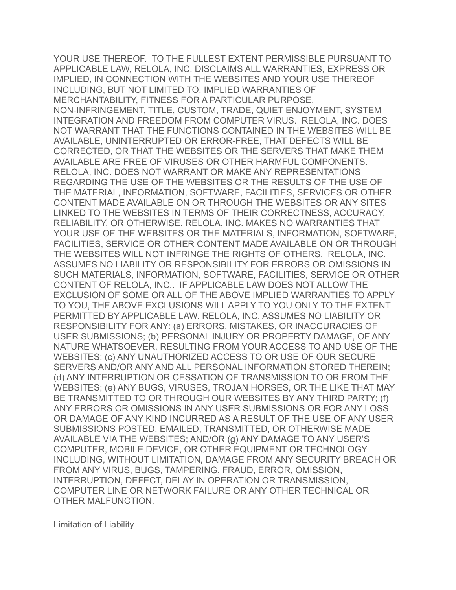YOUR USE THEREOF. TO THE FULLEST EXTENT PERMISSIBLE PURSUANT TO APPLICABLE LAW, RELOLA, INC. DISCLAIMS ALL WARRANTIES, EXPRESS OR IMPLIED, IN CONNECTION WITH THE WEBSITES AND YOUR USE THEREOF INCLUDING, BUT NOT LIMITED TO, IMPLIED WARRANTIES OF MERCHANTABILITY, FITNESS FOR A PARTICULAR PURPOSE, NON-INFRINGEMENT, TITLE, CUSTOM, TRADE, QUIET ENJOYMENT, SYSTEM INTEGRATION AND FREEDOM FROM COMPUTER VIRUS. RELOLA, INC. DOES NOT WARRANT THAT THE FUNCTIONS CONTAINED IN THE WEBSITES WILL BE AVAILABLE, UNINTERRUPTED OR ERROR-FREE, THAT DEFECTS WILL BE CORRECTED, OR THAT THE WEBSITES OR THE SERVERS THAT MAKE THEM AVAILABLE ARE FREE OF VIRUSES OR OTHER HARMFUL COMPONENTS. RELOLA, INC. DOES NOT WARRANT OR MAKE ANY REPRESENTATIONS REGARDING THE USE OF THE WEBSITES OR THE RESULTS OF THE USE OF THE MATERIAL, INFORMATION, SOFTWARE, FACILITIES, SERVICES OR OTHER CONTENT MADE AVAILABLE ON OR THROUGH THE WEBSITES OR ANY SITES LINKED TO THE WEBSITES IN TERMS OF THEIR CORRECTNESS, ACCURACY, RELIABILITY, OR OTHERWISE. RELOLA, INC. MAKES NO WARRANTIES THAT YOUR USE OF THE WEBSITES OR THE MATERIALS, INFORMATION, SOFTWARE, FACILITIES, SERVICE OR OTHER CONTENT MADE AVAILABLE ON OR THROUGH THE WEBSITES WILL NOT INFRINGE THE RIGHTS OF OTHERS. RELOLA, INC. ASSUMES NO LIABILITY OR RESPONSIBILITY FOR ERRORS OR OMISSIONS IN SUCH MATERIALS, INFORMATION, SOFTWARE, FACILITIES, SERVICE OR OTHER CONTENT OF RELOLA, INC.. IF APPLICABLE LAW DOES NOT ALLOW THE EXCLUSION OF SOME OR ALL OF THE ABOVE IMPLIED WARRANTIES TO APPLY TO YOU, THE ABOVE EXCLUSIONS WILL APPLY TO YOU ONLY TO THE EXTENT PERMITTED BY APPLICABLE LAW. RELOLA, INC. ASSUMES NO LIABILITY OR RESPONSIBILITY FOR ANY: (a) ERRORS, MISTAKES, OR INACCURACIES OF USER SUBMISSIONS; (b) PERSONAL INJURY OR PROPERTY DAMAGE, OF ANY NATURE WHATSOEVER, RESULTING FROM YOUR ACCESS TO AND USE OF THE WEBSITES; (c) ANY UNAUTHORIZED ACCESS TO OR USE OF OUR SECURE SERVERS AND/OR ANY AND ALL PERSONAL INFORMATION STORED THEREIN; (d) ANY INTERRUPTION OR CESSATION OF TRANSMISSION TO OR FROM THE WEBSITES; (e) ANY BUGS, VIRUSES, TROJAN HORSES, OR THE LIKE THAT MAY BE TRANSMITTED TO OR THROUGH OUR WEBSITES BY ANY THIRD PARTY; (f) ANY ERRORS OR OMISSIONS IN ANY USER SUBMISSIONS OR FOR ANY LOSS OR DAMAGE OF ANY KIND INCURRED AS A RESULT OF THE USE OF ANY USER SUBMISSIONS POSTED, EMAILED, TRANSMITTED, OR OTHERWISE MADE AVAILABLE VIA THE WEBSITES; AND/OR (g) ANY DAMAGE TO ANY USER'S COMPUTER, MOBILE DEVICE, OR OTHER EQUIPMENT OR TECHNOLOGY INCLUDING, WITHOUT LIMITATION, DAMAGE FROM ANY SECURITY BREACH OR FROM ANY VIRUS, BUGS, TAMPERING, FRAUD, ERROR, OMISSION, INTERRUPTION, DEFECT, DELAY IN OPERATION OR TRANSMISSION, COMPUTER LINE OR NETWORK FAILURE OR ANY OTHER TECHNICAL OR OTHER MALFUNCTION.

Limitation of Liability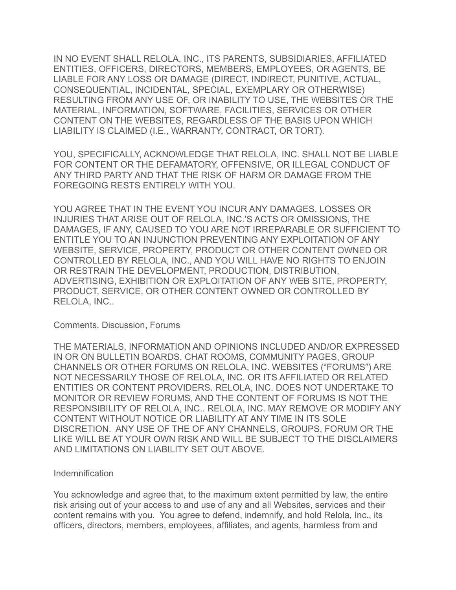IN NO EVENT SHALL RELOLA, INC., ITS PARENTS, SUBSIDIARIES, AFFILIATED ENTITIES, OFFICERS, DIRECTORS, MEMBERS, EMPLOYEES, OR AGENTS, BE LIABLE FOR ANY LOSS OR DAMAGE (DIRECT, INDIRECT, PUNITIVE, ACTUAL, CONSEQUENTIAL, INCIDENTAL, SPECIAL, EXEMPLARY OR OTHERWISE) RESULTING FROM ANY USE OF, OR INABILITY TO USE, THE WEBSITES OR THE MATERIAL, INFORMATION, SOFTWARE, FACILITIES, SERVICES OR OTHER CONTENT ON THE WEBSITES, REGARDLESS OF THE BASIS UPON WHICH LIABILITY IS CLAIMED (I.E., WARRANTY, CONTRACT, OR TORT).

YOU, SPECIFICALLY, ACKNOWLEDGE THAT RELOLA, INC. SHALL NOT BE LIABLE FOR CONTENT OR THE DEFAMATORY, OFFENSIVE, OR ILLEGAL CONDUCT OF ANY THIRD PARTY AND THAT THE RISK OF HARM OR DAMAGE FROM THE FOREGOING RESTS ENTIRELY WITH YOU.

YOU AGREE THAT IN THE EVENT YOU INCUR ANY DAMAGES, LOSSES OR INJURIES THAT ARISE OUT OF RELOLA, INC.'S ACTS OR OMISSIONS, THE DAMAGES, IF ANY, CAUSED TO YOU ARE NOT IRREPARABLE OR SUFFICIENT TO ENTITLE YOU TO AN INJUNCTION PREVENTING ANY EXPLOITATION OF ANY WEBSITE, SERVICE, PROPERTY, PRODUCT OR OTHER CONTENT OWNED OR CONTROLLED BY RELOLA, INC., AND YOU WILL HAVE NO RIGHTS TO ENJOIN OR RESTRAIN THE DEVELOPMENT, PRODUCTION, DISTRIBUTION, ADVERTISING, EXHIBITION OR EXPLOITATION OF ANY WEB SITE, PROPERTY, PRODUCT, SERVICE, OR OTHER CONTENT OWNED OR CONTROLLED BY RELOLA, INC..

### Comments, Discussion, Forums

THE MATERIALS, INFORMATION AND OPINIONS INCLUDED AND/OR EXPRESSED IN OR ON BULLETIN BOARDS, CHAT ROOMS, COMMUNITY PAGES, GROUP CHANNELS OR OTHER FORUMS ON RELOLA, INC. WEBSITES ("FORUMS") ARE NOT NECESSARILY THOSE OF RELOLA, INC. OR ITS AFFILIATED OR RELATED ENTITIES OR CONTENT PROVIDERS. RELOLA, INC. DOES NOT UNDERTAKE TO MONITOR OR REVIEW FORUMS, AND THE CONTENT OF FORUMS IS NOT THE RESPONSIBILITY OF RELOLA, INC.. RELOLA, INC. MAY REMOVE OR MODIFY ANY CONTENT WITHOUT NOTICE OR LIABILITY AT ANY TIME IN ITS SOLE DISCRETION. ANY USE OF THE OF ANY CHANNELS, GROUPS, FORUM OR THE LIKE WILL BE AT YOUR OWN RISK AND WILL BE SUBJECT TO THE DISCLAIMERS AND LIMITATIONS ON LIABILITY SET OUT ABOVE.

### Indemnification

You acknowledge and agree that, to the maximum extent permitted by law, the entire risk arising out of your access to and use of any and all Websites, services and their content remains with you. You agree to defend, indemnify, and hold Relola, Inc., its officers, directors, members, employees, affiliates, and agents, harmless from and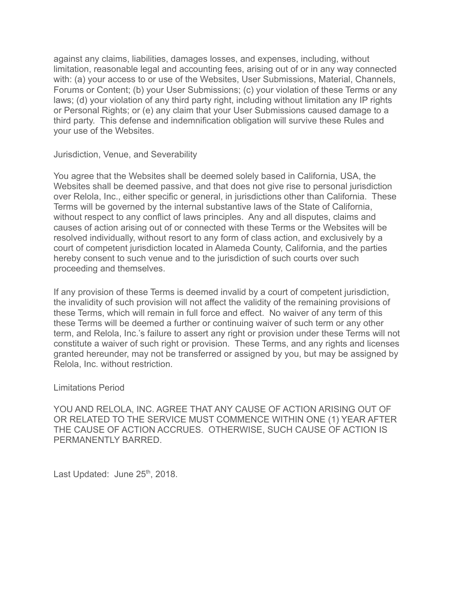against any claims, liabilities, damages losses, and expenses, including, without limitation, reasonable legal and accounting fees, arising out of or in any way connected with: (a) your access to or use of the Websites, User Submissions, Material, Channels, Forums or Content; (b) your User Submissions; (c) your violation of these Terms or any laws; (d) your violation of any third party right, including without limitation any IP rights or Personal Rights; or (e) any claim that your User Submissions caused damage to a third party. This defense and indemnification obligation will survive these Rules and your use of the Websites.

Jurisdiction, Venue, and Severability

You agree that the Websites shall be deemed solely based in California, USA, the Websites shall be deemed passive, and that does not give rise to personal jurisdiction over Relola, Inc., either specific or general, in jurisdictions other than California. These Terms will be governed by the internal substantive laws of the State of California, without respect to any conflict of laws principles. Any and all disputes, claims and causes of action arising out of or connected with these Terms or the Websites will be resolved individually, without resort to any form of class action, and exclusively by a court of competent jurisdiction located in Alameda County, California, and the parties hereby consent to such venue and to the jurisdiction of such courts over such proceeding and themselves.

If any provision of these Terms is deemed invalid by a court of competent jurisdiction, the invalidity of such provision will not affect the validity of the remaining provisions of these Terms, which will remain in full force and effect. No waiver of any term of this these Terms will be deemed a further or continuing waiver of such term or any other term, and Relola, Inc.'s failure to assert any right or provision under these Terms will not constitute a waiver of such right or provision. These Terms, and any rights and licenses granted hereunder, may not be transferred or assigned by you, but may be assigned by Relola, Inc. without restriction.

### Limitations Period

YOU AND RELOLA, INC. AGREE THAT ANY CAUSE OF ACTION ARISING OUT OF OR RELATED TO THE SERVICE MUST COMMENCE WITHIN ONE (1) YEAR AFTER THE CAUSE OF ACTION ACCRUES. OTHERWISE, SUCH CAUSE OF ACTION IS PERMANENTLY BARRED.

Last Updated: June 25<sup>th</sup>, 2018.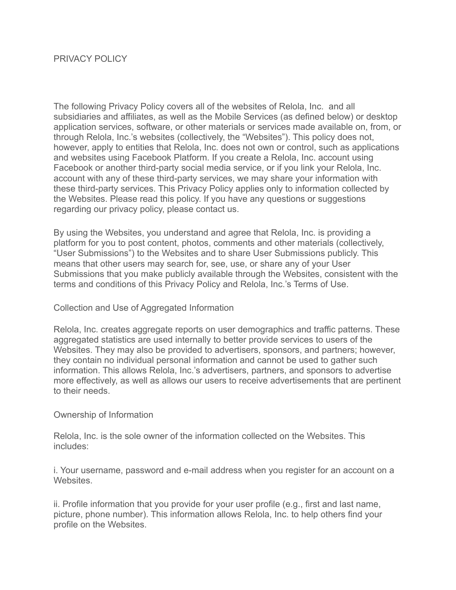# PRIVACY POLICY

The following Privacy Policy covers all of the websites of Relola, Inc. and all subsidiaries and affiliates, as well as the Mobile Services (as defined below) or desktop application services, software, or other materials or services made available on, from, or through Relola, Inc.'s websites (collectively, the "Websites"). This policy does not, however, apply to entities that Relola, Inc. does not own or control, such as applications and websites using Facebook Platform. If you create a Relola, Inc. account using Facebook or another third-party social media service, or if you link your Relola, Inc. account with any of these third-party services, we may share your information with these third-party services. This Privacy Policy applies only to information collected by the Websites. Please read this policy. If you have any questions or suggestions regarding our privacy policy, please contact us.

By using the Websites, you understand and agree that Relola, Inc. is providing a platform for you to post content, photos, comments and other materials (collectively, "User Submissions") to the Websites and to share User Submissions publicly. This means that other users may search for, see, use, or share any of your User Submissions that you make publicly available through the Websites, consistent with the terms and conditions of this Privacy Policy and Relola, Inc.'s Terms of Use.

# Collection and Use of Aggregated Information

Relola, Inc. creates aggregate reports on user demographics and traffic patterns. These aggregated statistics are used internally to better provide services to users of the Websites. They may also be provided to advertisers, sponsors, and partners; however, they contain no individual personal information and cannot be used to gather such information. This allows Relola, Inc.'s advertisers, partners, and sponsors to advertise more effectively, as well as allows our users to receive advertisements that are pertinent to their needs.

### Ownership of Information

Relola, Inc. is the sole owner of the information collected on the Websites. This includes:

i. Your username, password and e-mail address when you register for an account on a **Websites** 

ii. Profile information that you provide for your user profile (e.g., first and last name, picture, phone number). This information allows Relola, Inc. to help others find your profile on the Websites.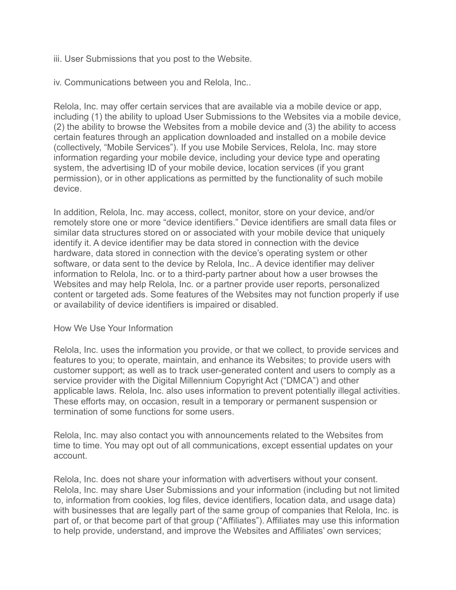iii. User Submissions that you post to the Website.

iv. Communications between you and Relola, Inc..

Relola, Inc. may offer certain services that are available via a mobile device or app, including (1) the ability to upload User Submissions to the Websites via a mobile device, (2) the ability to browse the Websites from a mobile device and (3) the ability to access certain features through an application downloaded and installed on a mobile device (collectively, "Mobile Services"). If you use Mobile Services, Relola, Inc. may store information regarding your mobile device, including your device type and operating system, the advertising ID of your mobile device, location services (if you grant permission), or in other applications as permitted by the functionality of such mobile device.

In addition, Relola, Inc. may access, collect, monitor, store on your device, and/or remotely store one or more "device identifiers." Device identifiers are small data files or similar data structures stored on or associated with your mobile device that uniquely identify it. A device identifier may be data stored in connection with the device hardware, data stored in connection with the device's operating system or other software, or data sent to the device by Relola, Inc.. A device identifier may deliver information to Relola, Inc. or to a third-party partner about how a user browses the Websites and may help Relola, Inc. or a partner provide user reports, personalized content or targeted ads. Some features of the Websites may not function properly if use or availability of device identifiers is impaired or disabled.

### How We Use Your Information

Relola, Inc. uses the information you provide, or that we collect, to provide services and features to you; to operate, maintain, and enhance its Websites; to provide users with customer support; as well as to track user-generated content and users to comply as a service provider with the Digital Millennium Copyright Act ("DMCA") and other applicable laws. Relola, Inc. also uses information to prevent potentially illegal activities. These efforts may, on occasion, result in a temporary or permanent suspension or termination of some functions for some users.

Relola, Inc. may also contact you with announcements related to the Websites from time to time. You may opt out of all communications, except essential updates on your account.

Relola, Inc. does not share your information with advertisers without your consent. Relola, Inc. may share User Submissions and your information (including but not limited to, information from cookies, log files, device identifiers, location data, and usage data) with businesses that are legally part of the same group of companies that Relola, Inc. is part of, or that become part of that group ("Affiliates"). Affiliates may use this information to help provide, understand, and improve the Websites and Affiliates' own services;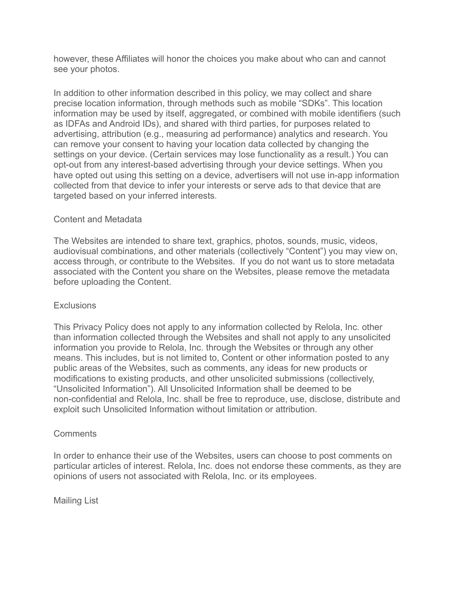however, these Affiliates will honor the choices you make about who can and cannot see your photos.

In addition to other information described in this policy, we may collect and share precise location information, through methods such as mobile "SDKs". This location information may be used by itself, aggregated, or combined with mobile identifiers (such as IDFAs and Android IDs), and shared with third parties, for purposes related to advertising, attribution (e.g., measuring ad performance) analytics and research. You can remove your consent to having your location data collected by changing the settings on your device. (Certain services may lose functionality as a result.) You can opt-out from any interest-based advertising through your device settings. When you have opted out using this setting on a device, advertisers will not use in-app information collected from that device to infer your interests or serve ads to that device that are targeted based on your inferred interests.

# Content and Metadata

The Websites are intended to share text, graphics, photos, sounds, music, videos, audiovisual combinations, and other materials (collectively "Content") you may view on, access through, or contribute to the Websites. If you do not want us to store metadata associated with the Content you share on the Websites, please remove the metadata before uploading the Content.

# **Exclusions**

This Privacy Policy does not apply to any information collected by Relola, Inc. other than information collected through the Websites and shall not apply to any unsolicited information you provide to Relola, Inc. through the Websites or through any other means. This includes, but is not limited to, Content or other information posted to any public areas of the Websites, such as comments, any ideas for new products or modifications to existing products, and other unsolicited submissions (collectively, "Unsolicited Information"). All Unsolicited Information shall be deemed to be non-confidential and Relola, Inc. shall be free to reproduce, use, disclose, distribute and exploit such Unsolicited Information without limitation or attribution.

# **Comments**

In order to enhance their use of the Websites, users can choose to post comments on particular articles of interest. Relola, Inc. does not endorse these comments, as they are opinions of users not associated with Relola, Inc. or its employees.

Mailing List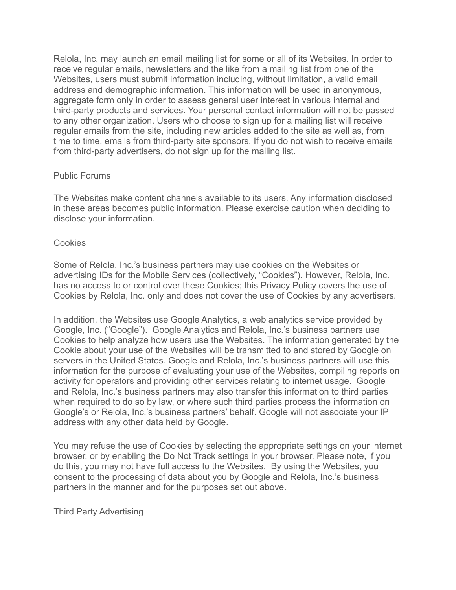Relola, Inc. may launch an email mailing list for some or all of its Websites. In order to receive regular emails, newsletters and the like from a mailing list from one of the Websites, users must submit information including, without limitation, a valid email address and demographic information. This information will be used in anonymous, aggregate form only in order to assess general user interest in various internal and third-party products and services. Your personal contact information will not be passed to any other organization. Users who choose to sign up for a mailing list will receive regular emails from the site, including new articles added to the site as well as, from time to time, emails from third-party site sponsors. If you do not wish to receive emails from third-party advertisers, do not sign up for the mailing list.

# Public Forums

The Websites make content channels available to its users. Any information disclosed in these areas becomes public information. Please exercise caution when deciding to disclose your information.

### **Cookies**

Some of Relola, Inc.'s business partners may use cookies on the Websites or advertising IDs for the Mobile Services (collectively, "Cookies"). However, Relola, Inc. has no access to or control over these Cookies; this Privacy Policy covers the use of Cookies by Relola, Inc. only and does not cover the use of Cookies by any advertisers.

In addition, the Websites use Google Analytics, a web analytics service provided by Google, Inc. ("Google"). Google Analytics and Relola, Inc.'s business partners use Cookies to help analyze how users use the Websites. The information generated by the Cookie about your use of the Websites will be transmitted to and stored by Google on servers in the United States. Google and Relola, Inc.'s business partners will use this information for the purpose of evaluating your use of the Websites, compiling reports on activity for operators and providing other services relating to internet usage. Google and Relola, Inc.'s business partners may also transfer this information to third parties when required to do so by law, or where such third parties process the information on Google's or Relola, Inc.'s business partners' behalf. Google will not associate your IP address with any other data held by Google.

You may refuse the use of Cookies by selecting the appropriate settings on your internet browser, or by enabling the Do Not Track settings in your browser. Please note, if you do this, you may not have full access to the Websites. By using the Websites, you consent to the processing of data about you by Google and Relola, Inc.'s business partners in the manner and for the purposes set out above.

Third Party Advertising